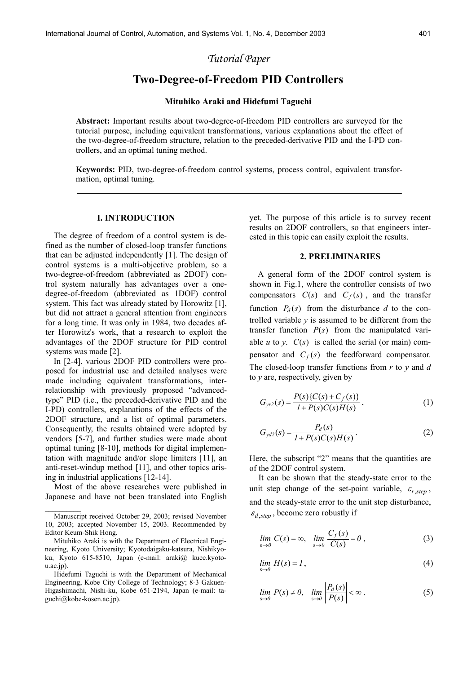# *Tutorial Paper*

## **Two-Degree-of-Freedom PID Controllers**

## **Mituhiko Araki and Hidefumi Taguchi**

**Abstract:** Important results about two-degree-of-freedom PID controllers are surveyed for the tutorial purpose, including equivalent transformations, various explanations about the effect of the two-degree-of-freedom structure, relation to the preceded-derivative PID and the I-PD controllers, and an optimal tuning method.

**Keywords:** PID, two-degree-of-freedom control systems, process control, equivalent transformation, optimal tuning.

#### **I. INTRODUCTION**

The degree of freedom of a control system is defined as the number of closed-loop transfer functions that can be adjusted independently [1]. The design of control systems is a multi-objective problem, so a two-degree-of-freedom (abbreviated as 2DOF) control system naturally has advantages over a onedegree-of-freedom (abbreviated as 1DOF) control system. This fact was already stated by Horowitz [1], but did not attract a general attention from engineers for a long time. It was only in 1984, two decades after Horowitz's work, that a research to exploit the advantages of the 2DOF structure for PID control systems was made [2].

In [2-4], various 2DOF PID controllers were proposed for industrial use and detailed analyses were made including equivalent transformations, interrelationship with previously proposed "advancedtype" PID (i.e., the preceded-derivative PID and the I-PD) controllers, explanations of the effects of the 2DOF structure, and a list of optimal parameters. Consequently, the results obtained were adopted by vendors [5-7], and further studies were made about optimal tuning [8-10], methods for digital implementation with magnitude and/or slope limiters [11], an anti-reset-windup method [11], and other topics arising in industrial applications [12-14].

 Most of the above researches were published in Japanese and have not been translated into English

 $\mathcal{L}_\text{max}$ 

yet. The purpose of this article is to survey recent results on 2DOF controllers, so that engineers interested in this topic can easily exploit the results.

### **2. PRELIMINARIES**

A general form of the 2DOF control system is shown in Fig.1, where the controller consists of two compensators  $C(s)$  and  $C_f(s)$ , and the transfer function  $P_d(s)$  from the disturbance *d* to the controlled variable *y* is assumed to be different from the transfer function  $P(s)$  from the manipulated variable *u* to *y*.  $C(s)$  is called the serial (or main) compensator and  $C_f(s)$  the feedforward compensator. The closed-loop transfer functions from *r* to *y* and *d* to *y* are, respectively, given by

$$
G_{yr2}(s) = \frac{P(s)\{C(s) + C_f(s)\}}{1 + P(s)C(s)H(s)},
$$
\n(1)

$$
G_{yd2}(s) = \frac{P_d(s)}{I + P(s)C(s)H(s)}.
$$
 (2)

Here, the subscript "2" means that the quantities are of the 2DOF control system.

 It can be shown that the steady-state error to the unit step change of the set-point variable,  $\varepsilon_{r,step}$ , and the steady-state error to the unit step disturbance,  $\varepsilon_{d,sten}$ , become zero robustly if

$$
\lim_{s \to 0} C(s) = \infty, \quad \lim_{s \to 0} \frac{C_f(s)}{C(s)} = 0,
$$
\n(3)

$$
\lim_{s \to 0} H(s) = I, \tag{4}
$$

$$
\lim_{s \to 0} P(s) \neq 0, \quad \lim_{s \to 0} \left| \frac{P_d(s)}{P(s)} \right| < \infty.
$$
 (5)

Manuscript received October 29, 2003; revised November 10, 2003; accepted November 15, 2003. Recommended by Editor Keum-Shik Hong.

Mituhiko Araki is with the Department of Electrical Engineering, Kyoto University; Kyotodaigaku-katsura, Nishikyoku, Kyoto 615-8510, Japan (e-mail: araki@ kuee.kyoto $u.ac.jp$ ).

Hidefumi Taguchi is with the Department of Mechanical Engineering, Kobe City College of Technology; 8-3 Gakuen-Higashimachi, Nishi-ku, Kobe 651-2194, Japan (e-mail: taguchi@kobe-kosen.ac.jp).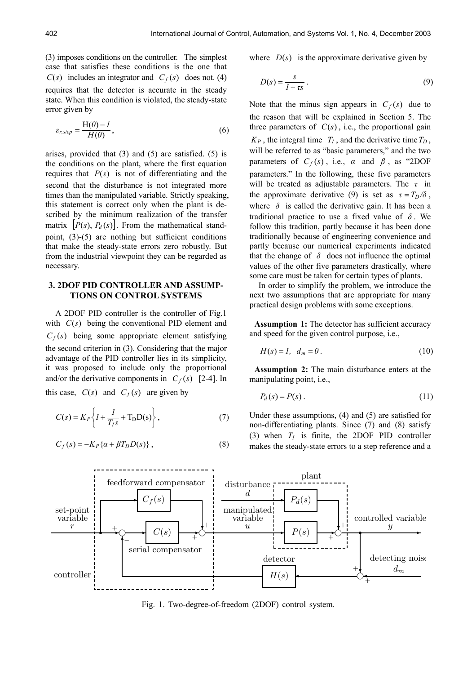(3) imposes conditions on the controller. The simplest case that satisfies these conditions is the one that  $C(s)$  includes an integrator and  $C_f(s)$  does not. (4) requires that the detector is accurate in the steady state. When this condition is violated, the steady-state error given by

$$
\varepsilon_{r,step} = \frac{H(0) - I}{H(0)},\tag{6}
$$

arises, provided that (3) and (5) are satisfied. (5) is the conditions on the plant, where the first equation requires that  $P(s)$  is not of differentiating and the second that the disturbance is not integrated more times than the manipulated variable. Strictly speaking, this statement is correct only when the plant is described by the minimum realization of the transfer matrix  $[P(s), P_d(s)]$ . From the mathematical standpoint, (3)-(5) are nothing but sufficient conditions that make the steady-state errors zero robustly. But from the industrial viewpoint they can be regarded as necessary.

## **3. 2DOF PID CONTROLLER AND ASSUMP-TIONS ON CONTROL SYSTEMS**

A 2DOF PID controller is the controller of Fig.1 with  $C(s)$  being the conventional PID element and  $C_f(s)$  being some appropriate element satisfying the second criterion in (3). Considering that the major advantage of the PID controller lies in its simplicity, it was proposed to include only the proportional and/or the derivative components in  $C_f(s)$  [2-4]. In

this case,  $C(s)$  and  $C_f(s)$  are given by

$$
C(s) = K_P \left\{ I + \frac{I}{T_I s} + T_D D(s) \right\},\tag{7}
$$

$$
C_f(s) = -K_P\{\alpha + \beta T_D D(s)\}\,,\tag{8}
$$

where  $D(s)$  is the approximate derivative given by

$$
D(s) = \frac{s}{1 + \tau s} \,. \tag{9}
$$

Note that the minus sign appears in  $C_f(s)$  due to the reason that will be explained in Section 5. The three parameters of  $C(s)$ , i.e., the proportional gain  $K_P$ , the integral time  $T_I$ , and the derivative time  $T_D$ , will be referred to as "basic parameters," and the two parameters of  $C_f(s)$ , i.e.,  $\alpha$  and  $\beta$ , as "2DOF parameters." In the following, these five parameters will be treated as adjustable parameters. The *τ* in the approximate derivative (9) is set as  $\tau = T_D/\delta$ , where  $\delta$  is called the derivative gain. It has been a traditional practice to use a fixed value of  $\delta$ . We follow this tradition, partly because it has been done traditionally because of engineering convenience and partly because our numerical experiments indicated that the change of  $\delta$  does not influence the optimal values of the other five parameters drastically, where some care must be taken for certain types of plants.

 In order to simplify the problem, we introduce the next two assumptions that are appropriate for many practical design problems with some exceptions.

**Assumption 1:** The detector has sufficient accuracy and speed for the given control purpose, i.e.,

$$
H(s) = 1, \quad d_m = 0. \tag{10}
$$

**Assumption 2:** The main disturbance enters at the manipulating point, i.e.,

$$
P_d(s) = P(s) \tag{11}
$$

Under these assumptions, (4) and (5) are satisfied for non-differentiating plants. Since (7) and (8) satisfy (3) when  $T_I$  is finite, the 2DOF PID controller makes the steady-state errors to a step reference and a



Fig. 1. Two-degree-of-freedom (2DOF) control system.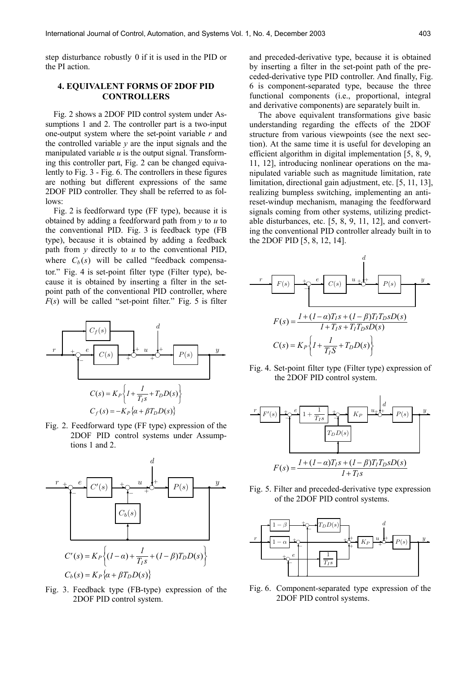step disturbance robustly 0 if it is used in the PID or the PI action.

## **4. EQUIVALENT FORMS OF 2DOF PID CONTROLLERS**

Fig. 2 shows a 2DOF PID control system under Assumptions 1 and 2. The controller part is a two-input one-output system where the set-point variable *r* and the controlled variable  $y$  are the input signals and the manipulated variable  $u$  is the output signal. Transforming this controller part, Fig. 2 can be changed equivalently to Fig. 3 - Fig. 6. The controllers in these figures are nothing but different expressions of the same 2DOF PID controller. They shall be referred to as follows:

Fig. 2 is feedforward type (FF type), because it is obtained by adding a feedforward path from *y* to *u* to the conventional PID. Fig. 3 is feedback type (FB type), because it is obtained by adding a feedback path from *y* directly to *u* to the conventional PID, where  $C_b(s)$  will be called "feedback compensator." Fig. 4 is set-point filter type (Filter type), because it is obtained by inserting a filter in the setpoint path of the conventional PID controller, where  $F(s)$  will be called "set-point filter." Fig. 5 is filter



Fig. 2. Feedforward type (FF type) expression of the 2DOF PID control systems under Assumptions 1 and 2.



Fig. 3. Feedback type (FB-type) expression of the 2DOF PID control system.

and preceded-derivative type, because it is obtained by inserting a filter in the set-point path of the preceded-derivative type PID controller. And finally, Fig. 6 is component-separated type, because the three functional components (i.e., proportional, integral and derivative components) are separately built in.

 The above equivalent transformations give basic understanding regarding the effects of the 2DOF structure from various viewpoints (see the next section). At the same time it is useful for developing an efficient algorithm in digital implementation [5, 8, 9, 11, 12], introducing nonlinear operations on the manipulated variable such as magnitude limitation, rate limitation, directional gain adjustment, etc. [5, 11, 13], realizing bumpless switching, implementing an antireset-windup mechanism, managing the feedforward signals coming from other systems, utilizing predictable disturbances, etc. [5, 8, 9, 11, 12], and converting the conventional PID controller already built in to the 2DOF PID [5, 8, 12, 14].



Fig. 4. Set-point filter type (Filter type) expression of the 2DOF PID control system.



Fig. 5. Filter and preceded-derivative type expression of the 2DOF PID control systems.



Fig. 6. Component-separated type expression of the 2DOF PID control systems.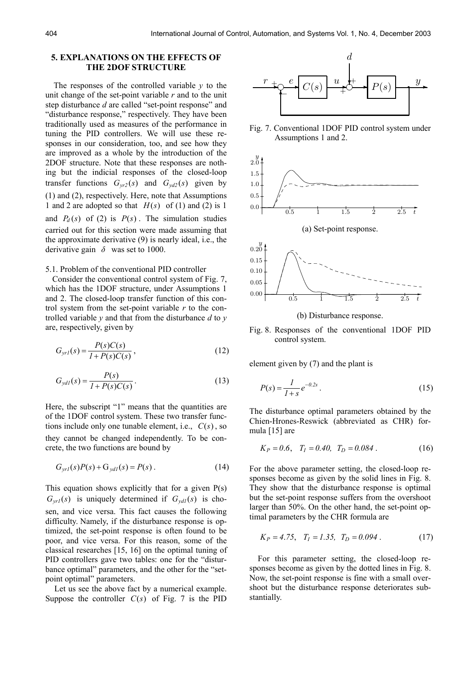#### **5. EXPLANATIONS ON THE EFFECTS OF THE 2DOF STRUCTURE**

The responses of the controlled variable *y* to the unit change of the set-point variable *r* and to the unit step disturbance *d* are called "set-point response" and "disturbance response," respectively. They have been traditionally used as measures of the performance in tuning the PID controllers. We will use these responses in our consideration, too, and see how they are improved as a whole by the introduction of the 2DOF structure. Note that these responses are nothing but the indicial responses of the closed-loop transfer functions  $G_{yr2}(s)$  and  $G_{yd2}(s)$  given by (1) and (2), respectively. Here, note that Assumptions 1 and 2 are adopted so that  $H(s)$  of (1) and (2) is 1 and  $P_d(s)$  of (2) is  $P(s)$ . The simulation studies carried out for this section were made assuming that the approximate derivative (9) is nearly ideal, i.e., the derivative gain  $\delta$  was set to 1000.

#### 5.1. Problem of the conventional PID controller

 Consider the conventional control system of Fig. 7, which has the 1DOF structure, under Assumptions 1 and 2. The closed-loop transfer function of this control system from the set-point variable *r* to the controlled variable *y* and that from the disturbance *d* to *y* are, respectively, given by

$$
G_{yrI}(s) = \frac{P(s)C(s)}{I + P(s)C(s)},
$$
\n(12)

$$
G_{ydl}(s) = \frac{P(s)}{I + P(s)C(s)}.
$$
 (13)

Here, the subscript "1" means that the quantities are of the 1DOF control system. These two transfer functions include only one tunable element, i.e.,  $C(s)$ , so they cannot be changed independently. To be concrete, the two functions are bound by

$$
G_{\text{yrl}}(s)P(s) + G_{\text{ydl}}(s) = P(s) \,. \tag{14}
$$

This equation shows explicitly that for a given  $P(s)$  $G_{vrl}(s)$  is uniquely determined if  $G_{vdl}(s)$  is chosen, and vice versa. This fact causes the following difficulty. Namely, if the disturbance response is optimized, the set-point response is often found to be poor, and vice versa. For this reason, some of the classical researches [15, 16] on the optimal tuning of PID controllers gave two tables: one for the "disturbance optimal" parameters, and the other for the "setpoint optimal" parameters.

 Let us see the above fact by a numerical example. Suppose the controller  $C(s)$  of Fig. 7 is the PID



Fig. 7. Conventional 1DOF PID control system under Assumptions 1 and 2.



(b) Disturbance response.

Fig. 8. Responses of the conventional 1DOF PID control system.

element given by (7) and the plant is

$$
P(s) = \frac{1}{1+s} e^{-0.2s} \,. \tag{15}
$$

The disturbance optimal parameters obtained by the Chien-Hrones-Reswick (abbreviated as CHR) formula [15] are

$$
K_P = 0.6, \quad T_I = 0.40, \quad T_D = 0.084 \,. \tag{16}
$$

For the above parameter setting, the closed-loop responses become as given by the solid lines in Fig. 8. They show that the disturbance response is optimal but the set-point response suffers from the overshoot larger than 50%. On the other hand, the set-point optimal parameters by the CHR formula are

$$
K_P = 4.75, T_I = 1.35, T_D = 0.094.
$$
 (17)

For this parameter setting, the closed-loop responses become as given by the dotted lines in Fig. 8. Now, the set-point response is fine with a small overshoot but the disturbance response deteriorates substantially.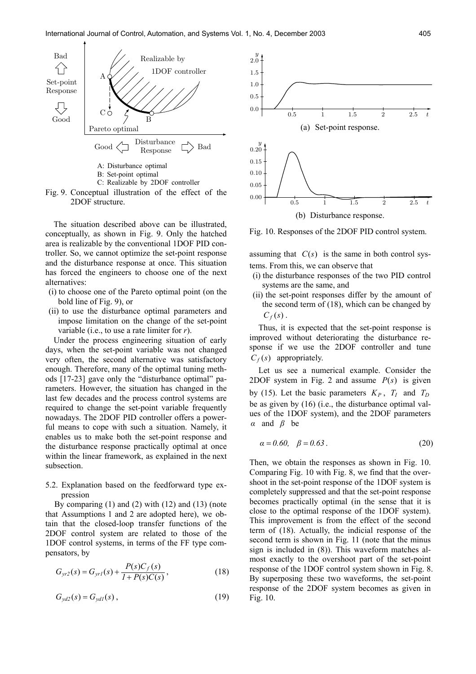

Fig. 9. Conceptual illustration of the effect of the 2DOF structure.

The situation described above can be illustrated, conceptually, as shown in Fig. 9. Only the hatched area is realizable by the conventional 1DOF PID controller. So, we cannot optimize the set-point response and the disturbance response at once. This situation has forced the engineers to choose one of the next alternatives:

- (i) to choose one of the Pareto optimal point (on the bold line of Fig. 9), or
- (ii) to use the disturbance optimal parameters and impose limitation on the change of the set-point variable (i.e., to use a rate limiter for *r*).

Under the process engineering situation of early days, when the set-point variable was not changed very often, the second alternative was satisfactory enough. Therefore, many of the optimal tuning methods [17-23] gave only the "disturbance optimal" parameters. However, the situation has changed in the last few decades and the process control systems are required to change the set-point variable frequently nowadays. The 2DOF PID controller offers a powerful means to cope with such a situation. Namely, it enables us to make both the set-point response and the disturbance response practically optimal at once within the linear framework, as explained in the next subsection.

5.2. Explanation based on the feedforward type expression

 By comparing (1) and (2) with (12) and (13) (note that Assumptions 1 and 2 are adopted here), we obtain that the closed-loop transfer functions of the 2DOF control system are related to those of the 1DOF control systems, in terms of the FF type compensators, by

$$
G_{yr2}(s) = G_{yr1}(s) + \frac{P(s)C_f(s)}{1 + P(s)C(s)},
$$
\n(18)

$$
G_{\mathit{yd2}}(s) = G_{\mathit{yd1}}(s) \,,\tag{19}
$$



Fig. 10. Responses of the 2DOF PID control system.

assuming that  $C(s)$  is the same in both control systems. From this, we can observe that

- (i) the disturbance responses of the two PID control systems are the same, and
- (ii) the set-point responses differ by the amount of the second term of (18), which can be changed by  $C_f(s)$ .

 Thus, it is expected that the set-point response is improved without deteriorating the disturbance response if we use the 2DOF controller and tune  $C_f(s)$  appropriately.

 Let us see a numerical example. Consider the 2DOF system in Fig. 2 and assume  $P(s)$  is given by (15). Let the basic parameters  $K_P$ ,  $T_I$  and  $T_D$ be as given by (16) (i.e., the disturbance optimal values of the 1DOF system), and the 2DOF parameters *α* and *β* be

$$
\alpha = 0.60, \quad \beta = 0.63 \,. \tag{20}
$$

Then, we obtain the responses as shown in Fig. 10. Comparing Fig. 10 with Fig. 8, we find that the overshoot in the set-point response of the 1DOF system is completely suppressed and that the set-point response becomes practically optimal (in the sense that it is close to the optimal response of the 1DOF system). This improvement is from the effect of the second term of (18). Actually, the indicial response of the second term is shown in Fig. 11 (note that the minus sign is included in (8)). This waveform matches almost exactly to the overshoot part of the set-point response of the 1DOF control system shown in Fig. 8. By superposing these two waveforms, the set-point response of the 2DOF system becomes as given in Fig. 10.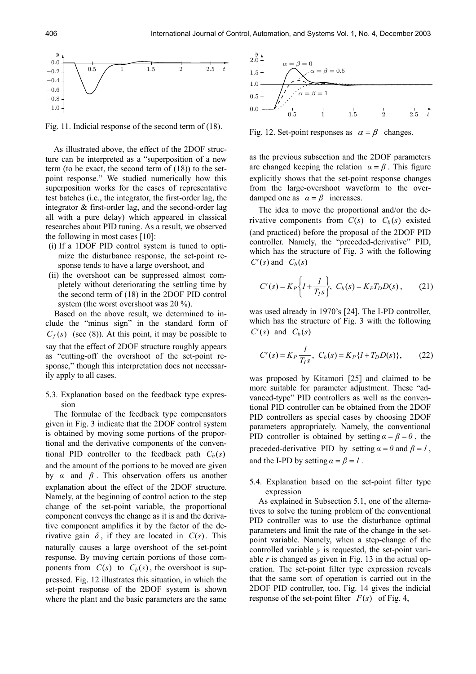

Fig. 11. Indicial response of the second term of (18).

As illustrated above, the effect of the 2DOF structure can be interpreted as a "superposition of a new term (to be exact, the second term of (18)) to the setpoint response." We studied numerically how this superposition works for the cases of representative test batches (i.e., the integrator, the first-order lag, the integrator & first-order lag, and the second-order lag all with a pure delay) which appeared in classical researches about PID tuning. As a result, we observed the following in most cases [10]:

- (i) If a 1DOF PID control system is tuned to optimize the disturbance response, the set-point response tends to have a large overshoot, and
- (ii) the overshoot can be suppressed almost completely without deteriorating the settling time by the second term of (18) in the 2DOF PID control system (the worst overshoot was 20 %).

 Based on the above result, we determined to include the "minus sign" in the standard form of  $C_f(s)$  (see (8)). At this point, it may be possible to say that the effect of 2DOF structure roughly appears as "cutting-off the overshoot of the set-point response," though this interpretation does not necessarily apply to all cases.

## 5.3. Explanation based on the feedback type expression

 The formulae of the feedback type compensators given in Fig. 3 indicate that the 2DOF control system is obtained by moving some portions of the proportional and the derivative components of the conventional PID controller to the feedback path  $C_b(s)$ and the amount of the portions to be moved are given by *α* and *β* . This observation offers us another explanation about the effect of the 2DOF structure. Namely, at the beginning of control action to the step change of the set-point variable, the proportional component conveys the change as it is and the derivative component amplifies it by the factor of the derivative gain  $\delta$ , if they are located in  $C(s)$ . This naturally causes a large overshoot of the set-point response. By moving certain portions of those components from  $C(s)$  to  $C_b(s)$ , the overshoot is suppressed. Fig. 12 illustrates this situation, in which the set-point response of the 2DOF system is shown where the plant and the basic parameters are the same



Fig. 12. Set-point responses as  $\alpha = \beta$  changes.

as the previous subsection and the 2DOF parameters are changed keeping the relation  $\alpha = \beta$ . This figure explicitly shows that the set-point response changes from the large-overshoot waveform to the overdamped one as  $\alpha = \beta$  increases.

 The idea to move the proportional and/or the derivative components from  $C(s)$  to  $C_b(s)$  existed (and practiced) before the proposal of the 2DOF PID controller. Namely, the "preceded-derivative" PID, which has the structure of Fig. 3 with the following  $C'(s)$  and  $C_b(s)$ 

$$
C'(s) = K_P \left\{ I + \frac{I}{T_I s} \right\}, \ C_b(s) = K_P T_D D(s) , \tag{21}
$$

was used already in 1970's [24]. The I-PD controller, which has the structure of Fig. 3 with the following  $C'(s)$  and  $C_h(s)$ 

$$
C'(s) = K_P \frac{I}{T_I s}, \ C_b(s) = K_P \{I + T_D D(s)\}, \tag{22}
$$

was proposed by Kitamori [25] and claimed to be more suitable for parameter adjustment. These "advanced-type" PID controllers as well as the conventional PID controller can be obtained from the 2DOF PID controllers as special cases by choosing 2DOF parameters appropriately. Namely, the conventional PID controller is obtained by setting  $\alpha = \beta = 0$ , the preceded-derivative PID by setting  $\alpha = 0$  and  $\beta = 1$ , and the I-PD by setting  $\alpha = \beta = I$ .

5.4. Explanation based on the set-point filter type expression

 As explained in Subsection 5.1, one of the alternatives to solve the tuning problem of the conventional PID controller was to use the disturbance optimal parameters and limit the rate of the change in the setpoint variable. Namely, when a step-change of the controlled variable *y* is requested, the set-point variable  $r$  is changed as given in Fig. 13 in the actual operation. The set-point filter type expression reveals that the same sort of operation is carried out in the 2DOF PID controller, too. Fig. 14 gives the indicial response of the set-point filter  $F(s)$  of Fig. 4,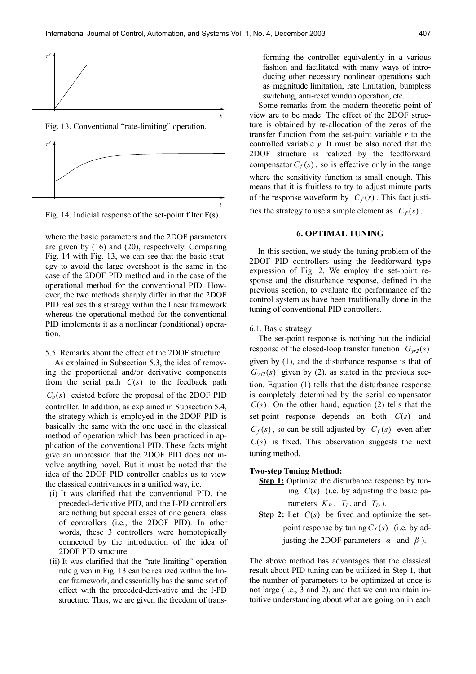t





where the basic parameters and the 2DOF parameters are given by (16) and (20), respectively. Comparing Fig. 14 with Fig. 13, we can see that the basic strategy to avoid the large overshoot is the same in the case of the 2DOF PID method and in the case of the operational method for the conventional PID. However, the two methods sharply differ in that the 2DOF PID realizes this strategy within the linear framework whereas the operational method for the conventional PID implements it as a nonlinear (conditional) operation.

5.5. Remarks about the effect of the 2DOF structure

 As explained in Subsection 5.3, the idea of removing the proportional and/or derivative components from the serial path  $C(s)$  to the feedback path  $C_b(s)$  existed before the proposal of the 2DOF PID controller. In addition, as explained in Subsection 5.4, the strategy which is employed in the 2DOF PID is basically the same with the one used in the classical method of operation which has been practiced in application of the conventional PID. These facts might give an impression that the 2DOF PID does not involve anything novel. But it must be noted that the idea of the 2DOF PID controller enables us to view the classical contrivances in a unified way, i.e.:

- (i) It was clarified that the conventional PID, the preceded-derivative PID, and the I-PD controllers are nothing but special cases of one general class of controllers (i.e., the 2DOF PID). In other words, these 3 controllers were homotopically connected by the introduction of the idea of 2DOF PID structure.
- (ii) It was clarified that the "rate limiting" operation rule given in Fig. 13 can be realized within the linear framework, and essentially has the same sort of effect with the preceded-derivative and the I-PD structure. Thus, we are given the freedom of trans-

forming the controller equivalently in a various fashion and facilitated with many ways of introducing other necessary nonlinear operations such as magnitude limitation, rate limitation, bumpless switching, anti-reset windup operation, etc.

 Some remarks from the modern theoretic point of view are to be made. The effect of the 2DOF structure is obtained by re-allocation of the zeros of the transfer function from the set-point variable *r* to the controlled variable *y*. It must be also noted that the 2DOF structure is realized by the feedforward compensator  $C_f(s)$ , so is effective only in the range where the sensitivity function is small enough. This means that it is fruitless to try to adjust minute parts of the response waveform by  $C_f(s)$ . This fact justi-

fies the strategy to use a simple element as  $C_f(s)$ .

#### **6. OPTIMAL TUNING**

In this section, we study the tuning problem of the 2DOF PID controllers using the feedforward type expression of Fig. 2. We employ the set-point response and the disturbance response, defined in the previous section, to evaluate the performance of the control system as have been traditionally done in the tuning of conventional PID controllers.

6.1. Basic strategy

 The set-point response is nothing but the indicial response of the closed-loop transfer function  $G_{vr2}(s)$ given by (1), and the disturbance response is that of  $G_{\nu d2}(s)$  given by (2), as stated in the previous section. Equation (1) tells that the disturbance response is completely determined by the serial compensator  $C(s)$ . On the other hand, equation (2) tells that the set-point response depends on both  $C(s)$  and  $C_f(s)$ , so can be still adjusted by  $C_f(s)$  even after  $C(s)$  is fixed. This observation suggests the next tuning method.

#### **Two-step Tuning Method:**

- **Step 1:** Optimize the disturbance response by tuning  $C(s)$  (i.e. by adjusting the basic parameters  $K_P$ ,  $T_I$ , and  $T_D$ ).
- **<u>Step 2:</u>** Let  $C(s)$  be fixed and optimize the setpoint response by tuning  $C_f(s)$  (i.e. by adjusting the 2DOF parameters  $\alpha$  and  $\beta$ ).

The above method has advantages that the classical result about PID tuning can be utilized in Step 1, that the number of parameters to be optimized at once is not large (i.e., 3 and 2), and that we can maintain intuitive understanding about what are going on in each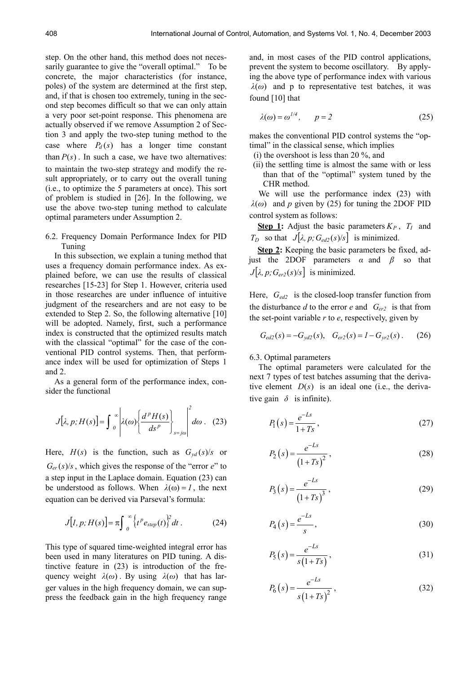step. On the other hand, this method does not necessarily guarantee to give the "overall optimal." To be concrete, the major characteristics (for instance, poles) of the system are determined at the first step, and, if that is chosen too extremely, tuning in the second step becomes difficult so that we can only attain a very poor set-point response. This phenomena are actually observed if we remove Assumption 2 of Section 3 and apply the two-step tuning method to the case where  $P_d(s)$  has a longer time constant than  $P(s)$ . In such a case, we have two alternatives: to maintain the two-step strategy and modify the result appropriately, or to carry out the overall tuning (i.e., to optimize the 5 parameters at once). This sort of problem is studied in [26]. In the following, we use the above two-step tuning method to calculate optimal parameters under Assumption 2.

6.2. Frequency Domain Performance Index for PID Tuning

 In this subsection, we explain a tuning method that uses a frequency domain performance index. As explained before, we can use the results of classical researches [15-23] for Step 1. However, criteria used in those researches are under influence of intuitive judgment of the researchers and are not easy to be extended to Step 2. So, the following alternative [10] will be adopted. Namely, first, such a performance index is constructed that the optimized results match with the classical "optimal" for the case of the conventional PID control systems. Then, that performance index will be used for optimization of Steps 1 and 2.

 As a general form of the performance index, consider the functional

$$
J[\lambda, p; H(s)] = \int_{0}^{\infty} \left| \lambda(\omega) \left\{ \frac{d^{p} H(s)}{ds^{p}} \right\}_{s=j\omega} \right|^{2} d\omega \quad (23)
$$

Here,  $H(s)$  is the function, such as  $G_{vd}(s)/s$  or  $G_{er}(s)/s$ , which gives the response of the "error *e*" to a step input in the Laplace domain. Equation (23) can be understood as follows. When  $\lambda(\omega) = I$ , the next equation can be derived via Parseval's formula:

$$
J[I, p; H(s)] = \pi \int_0^\infty \left\{ t^p e_{step}(t) \right\}^2 dt \,. \tag{24}
$$

This type of squared time-weighted integral error has been used in many literatures on PID tuning. A distinctive feature in (23) is introduction of the frequency weight  $\lambda(\omega)$ . By using  $\lambda(\omega)$  that has larger values in the high frequency domain, we can suppress the feedback gain in the high frequency range and, in most cases of the PID control applications, prevent the system to become oscillatory. By applying the above type of performance index with various  $λ$ (*ω*) and p to representative test batches, it was found [10] that

$$
\lambda(\omega) = \omega^{1/4}, \qquad p = 2 \tag{25}
$$

makes the conventional PID control systems the "optimal" in the classical sense, which implies

- (i) the overshoot is less than 20 %, and
- (ii) the settling time is almost the same with or less than that of the "optimal" system tuned by the CHR method.

We will use the performance index  $(23)$  with  $λ$ (*ω*) and *p* given by (25) for tuning the 2DOF PID control system as follows:

**Step 1:** Adjust the basic parameters  $K_P$ ,  $T_I$  and *T<sub>D</sub>* so that  $J[\lambda, p; G_{ed2}(s)/s]$  is minimized.

**Step 2:** Keeping the basic parameters be fixed, adjust the 2DOF parameters  $\alpha$  and  $\beta$  so that  $J[\lambda, p; G_{\text{er2}}(s)/s]$  is minimized.

Here,  $G_{ed2}$  is the closed-loop transfer function from the disturbance  $d$  to the error  $e$  and  $G_{er2}$  is that from the set-point variable *r* to *e*, respectively, given by

$$
G_{ed2}(s) = -G_{yd2}(s), \quad G_{er2}(s) = I - G_{yr2}(s).
$$
 (26)

#### 6.3. Optimal parameters

 The optimal parameters were calculated for the next 7 types of test batches assuming that the derivative element  $D(s)$  is an ideal one (i.e., the derivative gain  $\delta$  is infinite).

$$
P_1(s) = \frac{e^{-Ls}}{1+Ts},\tag{27}
$$

$$
P_2(s) = \frac{e^{-Ls}}{(1+Ts)^2},
$$
\n(28)

$$
P_3(s) = \frac{e^{-Ls}}{(1+Ts)^3},
$$
\n(29)

$$
P_4(s) = \frac{e^{-Ls}}{s},\tag{30}
$$

$$
P_5(s) = \frac{e^{-Ls}}{s(1+Ts)},
$$
\n(31)

$$
P_6(s) = \frac{e^{-Ls}}{s(1+Ts)^2},
$$
\n(32)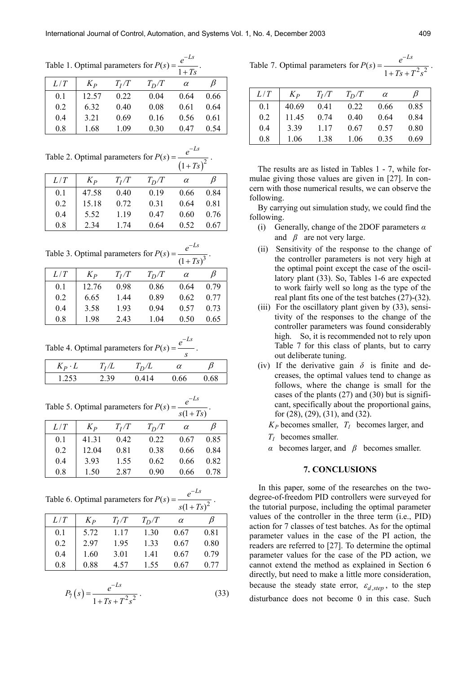.

Table 1. Optimal parameters for  $P(s) = \frac{1}{1}$  $P(s) = \frac{e^{-Ls}}{s}$ −  $=\frac{C}{1+Ts}$ .

|     |         |         |         | $1+Ts$   |      |
|-----|---------|---------|---------|----------|------|
| L/T | $K_{P}$ | $T_I/T$ | $T_D/T$ | $\alpha$ | B    |
| 0.1 | 12.57   | 0.22    | 0.04    | 0.64     | 0.66 |
| 0.2 | 6.32    | 0.40    | 0.08    | 0.61     | 0.64 |
| 0.4 | 3.21    | 0.69    | 0.16    | 0.56     | 0.61 |
| 0.8 | 1.68    | 1.09    | 0.30    | 0.47     | 0.54 |

Table 2. Optimal parameters for  $P(s) = \frac{c}{(1+Ts)^2}$  $P(s) = \frac{e^{-Ls}}{s}$ *Ts* − = +

| L/T | $K_{p}$ | $T_I/T$ | $T_D/T$ | $\alpha$ | B    |
|-----|---------|---------|---------|----------|------|
| 0.1 | 47.58   | 0.40    | 0.19    | 0.66     | 0.84 |
| 0.2 | 15.18   | 0.72    | 0.31    | 0.64     | 0.81 |
| 0.4 | 5.52    | 1.19    | 0.47    | 0.60     | 0.76 |
| 0.8 | 2.34    | 174     | 0.64    | 0.52     | 0.67 |

Table 3. Optimal parameters for  $P(s) = \frac{c}{(1+Ts)^3}$  $P(s) = \frac{e^{-Ls}}{s}$ *Ts* −  $=\frac{e}{(1+Ts)^3}$ .

|     |                   |         |         | $(1 + 1)$ |      |
|-----|-------------------|---------|---------|-----------|------|
| L/T | $K_{\mathcal{P}}$ | $T_I/T$ | $T_D/T$ | $\alpha$  | B    |
| 0.1 | 12.76             | 0.98    | 0.86    | 0.64      | 0.79 |
| 0.2 | 6.65              | 1.44    | 0.89    | 0.62      | 0.77 |
| 0.4 | 3.58              | 1.93    | 0.94    | 0.57      | 0.73 |
| 0.8 | 1.98              | 2.43    | 1.04    | 0.50      | 0.65 |

Table 4. Optimal parameters for  $P(s) = \frac{e^{-Ls}}{s}$ −  $=\frac{c}{c}$ .

| $K_P \cdot L$ | $T_I/L$ | $T_D/L$ | $\alpha$ |      |
|---------------|---------|---------|----------|------|
| 1.253         | 2.39    | 0.414   | 0.66     | 0.68 |

Table 5. Optimal parameters for  $P(s) = \frac{e}{s(1 + Ts)}$  $P(s) = \frac{e^{-Ls}}{s}$  $s(1+Ts)$ −  $=\frac{e}{s(1+Ts)}.$ 

| L/T | $K_{p}$ | $T_I/T$ | $T_D/T$ | $\alpha$ | B    |
|-----|---------|---------|---------|----------|------|
| 0.1 | 41.31   | 0.42    | 0.22    | 0.67     | 0.85 |
| 0.2 | 12.04   | 0.81    | 0.38    | 0.66     | 0.84 |
| 0.4 | 393     | 1.55    | 0.62    | 0.66     | 0.82 |
| 0.8 | 1.50    | 2.87    | 0.90    | 0.66     | 0.78 |

Table 6. Optimal parameters for  $P(s) = \frac{c}{s(1+Ts)^2}$  $P(s) = \frac{e^{-Ls}}{s}$  $s(1+Ts)$ −  $=\frac{e}{s(1+Ts)^2}$ .

|     |         |         |         | $5(1 + 15)$ |      |  |
|-----|---------|---------|---------|-------------|------|--|
| L/T | $K_{p}$ | $T_I/T$ | $T_D/T$ | $\alpha$    |      |  |
| 0.1 | 5.72    | 1.17    | 1.30    | 0.67        | 0.81 |  |
| 0.2 | 297     | 1.95    | 1.33    | 0.67        | 0.80 |  |
| 0.4 | 1.60    | 3.01    | 1.41    | 0.67        | 0.79 |  |
| 0.8 | 0.88    | 4.57    | 1.55    | 0.67        | 0.77 |  |
|     |         |         |         |             |      |  |

$$
P_7(s) = \frac{e^{-Ls}}{1 + Ts + T^2 s^2} \,. \tag{33}
$$

| Table 7. Optimal parameters for $P(s) = -$ | $L-S$                             |
|--------------------------------------------|-----------------------------------|
|                                            | $\frac{1+Ts+T^2s^2}{1+Ts+T^2s^2}$ |

| L/T | $K_{\rm p}$ | $T_I/T$ | $T_D/T$ | $\alpha$ | B    |
|-----|-------------|---------|---------|----------|------|
| 0.1 | 40.69       | 0.41    | 0.22    | 0.66     | 0.85 |
| 0.2 | 11.45       | 0.74    | 0.40    | 0.64     | 0.84 |
| 0.4 | 3.39        | 1 17    | 0.67    | 0.57     | 0.80 |
| 0.8 | 1.06        | 1.38    | 1.06    | 0.35     | 0.69 |

The results are as listed in Tables 1 - 7, while formulae giving those values are given in [27]. In concern with those numerical results, we can observe the following.

By carrying out simulation study, we could find the following.

- (i) Generally, change of the 2DOF parameters *α* and  $\beta$  are not very large.
- (ii) Sensitivity of the response to the change of the controller parameters is not very high at the optimal point except the case of the oscillatory plant (33). So, Tables 1-6 are expected to work fairly well so long as the type of the real plant fits one of the test batches (27)-(32).
- (iii) For the oscillatory plant given by (33), sensitivity of the responses to the change of the controller parameters was found considerably high. So, it is recommended not to rely upon Table 7 for this class of plants, but to carry out deliberate tuning.
- (iv) If the derivative gain  $\delta$  is finite and decreases, the optimal values tend to change as follows, where the change is small for the cases of the plants (27) and (30) but is significant, specifically about the proportional gains, for (28), (29), (31), and (32).
	- $K_P$  becomes smaller,  $T_I$  becomes larger, and
	- *TI* becomes smaller.
	- *α* becomes larger, and *β* becomes smaller.

#### **7. CONCLUSIONS**

 In this paper, some of the researches on the twodegree-of-freedom PID controllers were surveyed for the tutorial purpose, including the optimal parameter values of the controller in the three term (i.e., PID) action for 7 classes of test batches. As for the optimal parameter values in the case of the PI action, the readers are referred to [27]. To determine the optimal parameter values for the case of the PD action, we cannot extend the method as explained in Section 6 directly, but need to make a little more consideration, because the steady state error,  $\varepsilon_{d,step}$ , to the step disturbance does not become 0 in this case. Such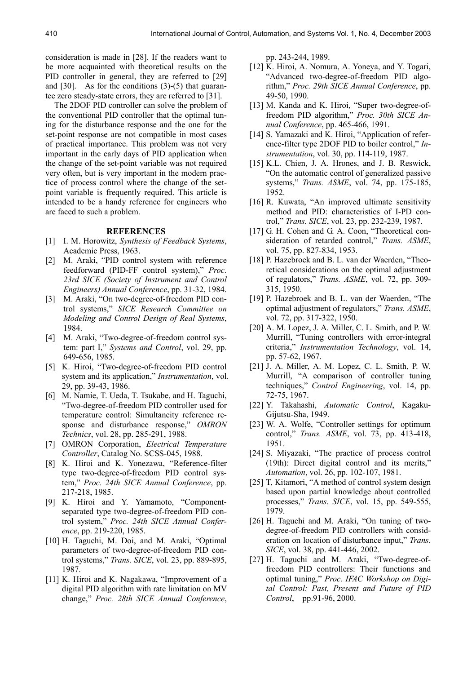consideration is made in [28]. If the readers want to be more acquainted with theoretical results on the PID controller in general, they are referred to [29] and [30]. As for the conditions (3)-(5) that guarantee zero steady-state errors, they are referred to [31].

 The 2DOF PID controller can solve the problem of the conventional PID controller that the optimal tuning for the disturbance response and the one for the set-point response are not compatible in most cases of practical importance. This problem was not very important in the early days of PID application when the change of the set-point variable was not required very often, but is very important in the modern practice of process control where the change of the setpoint variable is frequently required. This article is intended to be a handy reference for engineers who are faced to such a problem.

#### **REFERENCES**

- [1] I. M. Horowitz, *Synthesis of Feedback Systems*, Academic Press, 1963.
- [2] M. Araki, "PID control system with reference feedforward (PID-FF control system)," *Proc. 23rd SICE (Society of Instrument and Control Engineers) Annual Conference*, pp. 31-32, 1984.
- [3] M. Araki, "On two-degree-of-freedom PID control systems," *SICE Research Committee on Modeling and Control Design of Real Systems*, 1984.
- [4] M. Araki, "Two-degree-of-freedom control system: part I," *Systems and Control*, vol. 29, pp. 649-656, 1985.
- [5] K. Hiroi, "Two-degree-of-freedom PID control system and its application," *Instrumentation*, vol. 29, pp. 39-43, 1986.
- [6] M. Namie, T. Ueda, T. Tsukabe, and H. Taguchi, "Two-degree-of-freedom PID controller used for temperature control: Simultaneity reference response and disturbance response," *OMRON Technics*, vol. 28, pp. 285-291, 1988.
- [7] OMRON Corporation, *Electrical Temperature Controller*, Catalog No. SCSS-045, 1988.
- [8] K. Hiroi and K. Yonezawa, "Reference-filter type two-degree-of-freedom PID control system," *Proc. 24th SICE Annual Conference*, pp. 217-218, 1985.
- [9] K. Hiroi and Y. Yamamoto, "Componentseparated type two-degree-of-freedom PID control system," *Proc. 24th SICE Annual Conference*, pp. 219-220, 1985.
- [10] H. Taguchi, M. Doi, and M. Araki, "Optimal parameters of two-degree-of-freedom PID control systems," *Trans. SICE*, vol. 23, pp. 889-895, 1987.
- [11] K. Hiroi and K. Nagakawa, "Improvement of a digital PID algorithm with rate limitation on MV change," *Proc. 28th SICE Annual Conference*,

pp. 243-244, 1989.

- [12] K. Hiroi, A. Nomura, A. Yoneya, and Y. Togari, "Advanced two-degree-of-freedom PID algorithm," *Proc. 29th SICE Annual Conference*, pp. 49-50, 1990.
- [13] M. Kanda and K. Hiroi, "Super two-degree-offreedom PID algorithm," *Proc. 30th SICE Annual Conference*, pp. 465-466, 1991.
- [14] S. Yamazaki and K. Hiroi, "Application of reference-filter type 2DOF PID to boiler control," *Instrumentation*, vol. 30, pp. 114-119, 1987.
- [15] K.L. Chien, J. A. Hrones, and J. B. Reswick, "On the automatic control of generalized passive systems," *Trans. ASME*, vol. 74, pp. 175-185, 1952.
- [16] R. Kuwata, "An improved ultimate sensitivity method and PID: characteristics of I-PD control," *Trans. SICE*, vol. 23, pp. 232-239, 1987.
- [17] G. H. Cohen and G. A. Coon, "Theoretical consideration of retarded control," *Trans. ASME*, vol. 75, pp. 827-834, 1953.
- [18] P. Hazebroek and B. L. van der Waerden, "Theoretical considerations on the optimal adjustment of regulators," *Trans. ASME*, vol. 72, pp. 309- 315, 1950.
- [19] P. Hazebroek and B. L. van der Waerden, "The optimal adjustment of regulators," *Trans. ASME*, vol. 72, pp. 317-322, 1950.
- [20] A. M. Lopez, J. A. Miller, C. L. Smith, and P. W. Murrill, "Tuning controllers with error-integral criteria," *Instrumentation Technology*, vol. 14, pp. 57-62, 1967.
- [21] J. A. Miller, A. M. Lopez, C. L. Smith, P. W. Murrill, "A comparison of controller tuning techniques," *Control Engineering*, vol. 14, pp. 72-75, 1967.
- [22] Y. Takahashi, *Automatic Control*, Kagaku-Gijutsu-Sha, 1949.
- [23] W. A. Wolfe, "Controller settings for optimum control," *Trans. ASME*, vol. 73, pp. 413-418, 1951.
- [24] S. Miyazaki, "The practice of process control (19th): Direct digital control and its merits," *Automation*, vol. 26, pp. 102-107, 1981.
- [25] T, Kitamori, "A method of control system design based upon partial knowledge about controlled processes," *Trans. SICE*, vol. 15, pp. 549-555, 1979.
- [26] H. Taguchi and M. Araki, "On tuning of twodegree-of-freedom PID controllers with consideration on location of disturbance input," *Trans. SICE*, vol. 38, pp. 441-446, 2002.
- [27] H. Taguchi and M. Araki, "Two-degree-offreedom PID controllers: Their functions and optimal tuning," *Proc. IFAC Workshop on Digital Control: Past, Present and Future of PID Control*, pp.91-96, 2000.